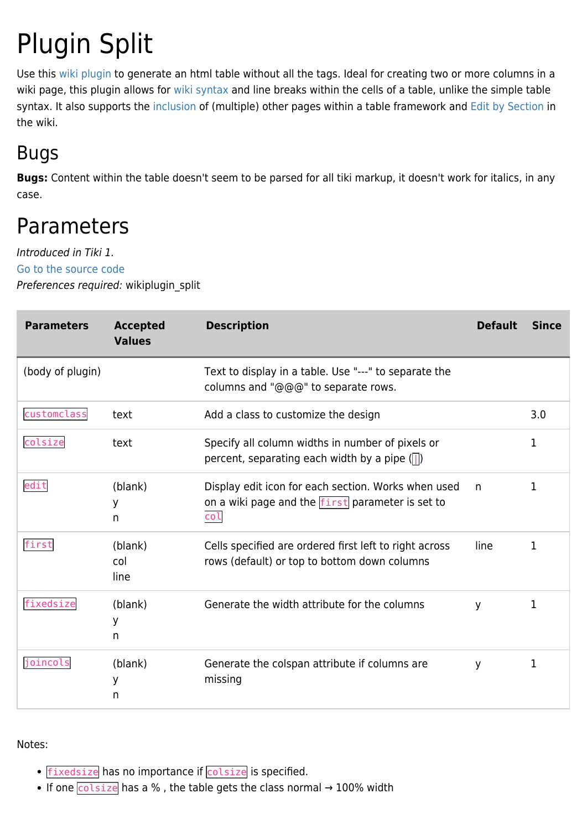# Plugin Split

Use this [wiki plugin](https://doc.tiki.org/wiki%20plugin) to generate an html table without all the tags. Ideal for creating two or more columns in a wiki page, this plugin allows for [wiki syntax](https://doc.tiki.org/Wiki-Syntax) and line breaks within the cells of a table, unlike the simple table syntax. It also supports the [inclusion](https://doc.tiki.org/PluginInclude) of (multiple) other pages within a table framework and [Edit by Section](https://doc.tiki.org/Edit-by-Section) in the wiki.

#### Bugs

**Bugs:** Content within the table doesn't seem to be parsed for all tiki markup, it doesn't work for italics, in any case.

## Parameters

Introduced in Tiki 1. [Go to the source code](https://gitlab.com/tikiwiki/tiki/-/blob/master/lib/wiki-plugins/wikiplugin_split.php)

Preferences required: wikiplugin\_split

| <b>Parameters</b> | <b>Accepted</b><br><b>Values</b> | <b>Description</b>                                                                                             | <b>Default</b> | <b>Since</b> |
|-------------------|----------------------------------|----------------------------------------------------------------------------------------------------------------|----------------|--------------|
| (body of plugin)  |                                  | Text to display in a table. Use "---" to separate the<br>columns and "@@@" to separate rows.                   |                |              |
| customclass       | text                             | Add a class to customize the design                                                                            |                | 3.0          |
| colsize           | text                             | Specify all column widths in number of pixels or<br>percent, separating each width by a pipe $(\Vert)$         |                | 1            |
| edit              | (blank)<br>У<br>n                | Display edit icon for each section. Works when used<br>on a wiki page and the first parameter is set to<br>col | n.             | 1            |
| first             | (blank)<br>col<br>line           | Cells specified are ordered first left to right across<br>rows (default) or top to bottom down columns         | line           | 1            |
| fixedsize         | (blank)<br>У<br>n                | Generate the width attribute for the columns                                                                   | У              | 1            |
| joincols          | (blank)<br>У<br>n                | Generate the colspan attribute if columns are<br>missing                                                       | y              | 1            |

Notes:

- fixedsize has no importance if colsize is specified.
- If one  $\overline{\text{colsize}}$  has a %, the table gets the class normal  $\rightarrow$  100% width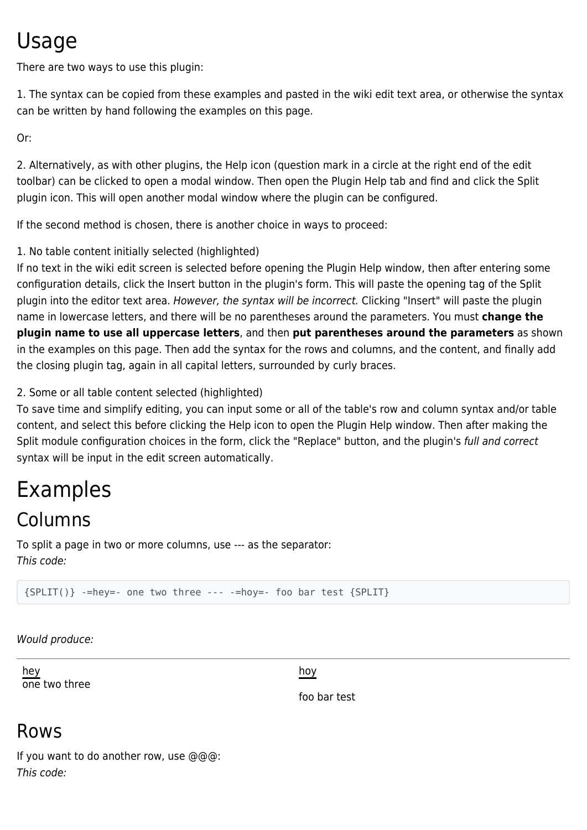## Usage

There are two ways to use this plugin:

1. The syntax can be copied from these examples and pasted in the wiki edit text area, or otherwise the syntax can be written by hand following the examples on this page.

Or:

2. Alternatively, as with other plugins, the Help icon (question mark in a circle at the right end of the edit toolbar) can be clicked to open a modal window. Then open the Plugin Help tab and find and click the Split plugin icon. This will open another modal window where the plugin can be configured.

If the second method is chosen, there is another choice in ways to proceed:

#### 1. No table content initially selected (highlighted)

If no text in the wiki edit screen is selected before opening the Plugin Help window, then after entering some configuration details, click the Insert button in the plugin's form. This will paste the opening tag of the Split plugin into the editor text area. However, the syntax will be incorrect. Clicking "Insert" will paste the plugin name in lowercase letters, and there will be no parentheses around the parameters. You must **change the plugin name to use all uppercase letters**, and then **put parentheses around the parameters** as shown in the examples on this page. Then add the syntax for the rows and columns, and the content, and finally add the closing plugin tag, again in all capital letters, surrounded by curly braces.

2. Some or all table content selected (highlighted)

To save time and simplify editing, you can input some or all of the table's row and column syntax and/or table content, and select this before clicking the Help icon to open the Plugin Help window. Then after making the Split module configuration choices in the form, click the "Replace" button, and the plugin's full and correct syntax will be input in the edit screen automatically.

## Examples

#### Columns

To split a page in two or more columns, use --- as the separator: This code:

{SPLIT()} -=hey=- one two three --- -=hoy=- foo bar test {SPLIT}

Would produce:

hey one two three

hoy

foo bar test

#### Rows

If you want to do another row, use @@@: This code: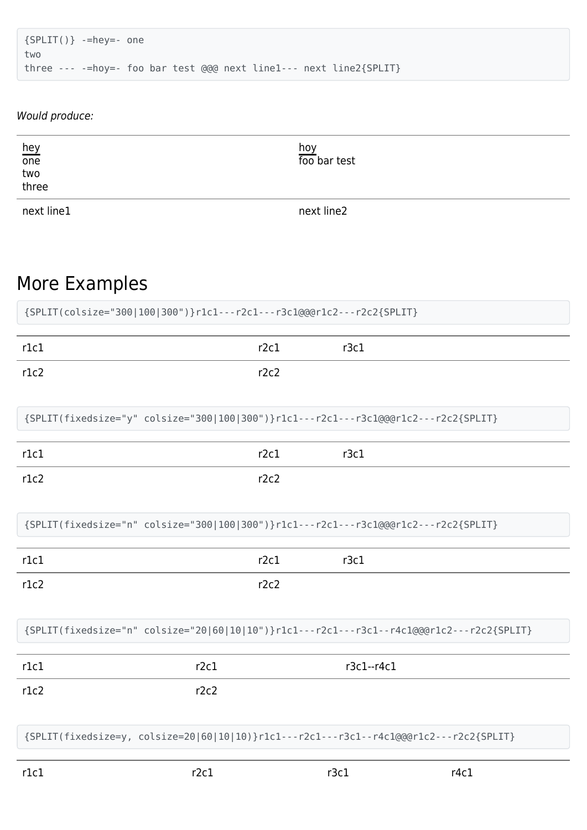```
{SPLIT()} -=hey=- one
two
three --- -=hoy=- foo bar test @@@ next line1--- next line2{SPLIT}
```
#### Would produce:

| hey<br>one<br>two<br>three | hoy<br>foo bar test |
|----------------------------|---------------------|
| next line1                 | next line2          |

#### More Examples

| {SPLIT(colsize="300 100 300")}r1c1---r2c1---r3c1@@@r1c2---r2c2{SPLIT}                     |      |            |  |  |
|-------------------------------------------------------------------------------------------|------|------------|--|--|
| r1c1                                                                                      | r2c1 | r3c1       |  |  |
| r1c2                                                                                      | r2c2 |            |  |  |
| {SPLIT(fixedsize="y" colsize="300 100 300")}r1c1---r2c1---r3c1@@@r1c2---r2c2{SPLIT}       |      |            |  |  |
| r1c1                                                                                      | r2c1 | r3c1       |  |  |
| r1c2                                                                                      | r2c2 |            |  |  |
| {SPLIT(fixedsize="n" colsize="300 100 300")}r1c1---r2c1---r3c1@@@r1c2---r2c2{SPLIT}       |      |            |  |  |
| r1c1                                                                                      | r2c1 | r3c1       |  |  |
| r1c2                                                                                      | r2c2 |            |  |  |
| {SPLIT(fixedsize="n" colsize="20 60 10 10")}r1c1---r2c1---r3c1--r4c1@@@r1c2---r2c2{SPLIT} |      |            |  |  |
| r1c1                                                                                      | r2c1 | r3c1--r4c1 |  |  |
| r1c2                                                                                      | r2c2 |            |  |  |

{SPLIT(fixedsize=y, colsize=20|60|10|10)}r1c1---r2c1---r3c1--r4c1@@@r1c2---r2c2{SPLIT}